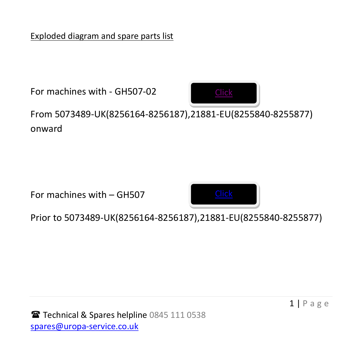Exploded diagram and spare parts list

For machines with - GH507-02 From 5073489-UK(8256164-8256187),21881-EU(8255840-8255877) onward [Click](#page-1-0) <u>.</u><br>2010 - 2010 - 2020  $1601CO$ 

For machines with – GH507



Prior to 5073489-UK(8256164-8256187),21881-EU(8255840-8255877) 600a

 $1 | P \text{ agree}$ 

Technical & Spares helpline 0845 111 0538 spares@uropa-service.co.uk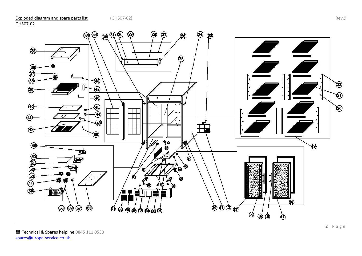

<span id="page-1-0"></span>GH507-02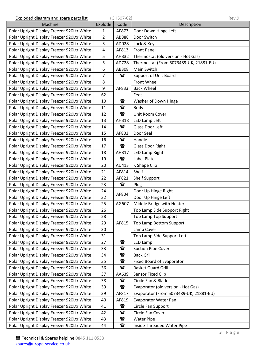| Exploded diagram and spare parts list      | (GH507-02)   |                     |                                        | Rev.9 |  |
|--------------------------------------------|--------------|---------------------|----------------------------------------|-------|--|
| Machine                                    | Explode      | Code<br>Description |                                        |       |  |
| Polar Upright Display Freezer 920Ltr White | $\mathbf{1}$ | AF873               | Door Down Hinge Left                   |       |  |
| Polar Upright Display Freezer 920Ltr White | 2            | AB888               | Door Switch                            |       |  |
| Polar Upright Display Freezer 920Ltr White | 3            | AD028               | Lock & Key                             |       |  |
| Polar Upright Display Freezer 920Ltr White | 4            | AF813               | <b>Front Panel</b>                     |       |  |
| Polar Upright Display Freezer 920Ltr White | 5            | AH332               | Thermostat (old version - Hot Gas)     |       |  |
| Polar Upright Display Freezer 920Ltr White | 5            | AD728               | Thermostat (From 5073489-UK, 21881-EU) |       |  |
| Polar Upright Display Freezer 920Ltr White | 6            | AB308               | Main Switch                            |       |  |
| Polar Upright Display Freezer 920Ltr White | 7            | $\mathbf{r}$        | <b>Support of Unit Board</b>           |       |  |
| Polar Upright Display Freezer 920Ltr White | 8            |                     | Front Wheel                            |       |  |
| Polar Upright Display Freezer 920Ltr White | 9            | AF833               | <b>Back Wheel</b>                      |       |  |
| Polar Upright Display Freezer 920Ltr White | 62           |                     | Feet                                   |       |  |
| Polar Upright Display Freezer 920Ltr White | 10           | $\mathbf{r}$        | Washer of Down Hinge                   |       |  |
| Polar Upright Display Freezer 920Ltr White | 11           | $\mathbf{r}$        | Body                                   |       |  |
| Polar Upright Display Freezer 920Ltr White | 12           | $\mathbf{r}$        | Unit Room Cover                        |       |  |
| Polar Upright Display Freezer 920Ltr White | 13           | AH318               | LED Lamp Left                          |       |  |
| Polar Upright Display Freezer 920Ltr White | 14           | $\mathbf{r}$        | Glass Door Left                        |       |  |
| Polar Upright Display Freezer 920Ltr White | 15           | AF803               | Door Seal                              |       |  |
| Polar Upright Display Freezer 920Ltr White | 16           | $\mathbf{r}$        | Handle                                 |       |  |
| Polar Upright Display Freezer 920Ltr White | 17           | $\mathbf{r}$        | <b>Glass Door Right</b>                |       |  |
| Polar Upright Display Freezer 920Ltr White | 18           | AH317               | <b>LED Lamp Right</b>                  |       |  |
| Polar Upright Display Freezer 920Ltr White | 19           | $\mathbf{r}$        | Label Plate                            |       |  |
| Polar Upright Display Freezer 920Ltr White | 20           | AD413               | K Shape Clip                           |       |  |
| Polar Upright Display Freezer 920Ltr White | 21           | AF814               | Shelf                                  |       |  |
| Polar Upright Display Freezer 920Ltr White | 22           | AF821               | <b>Shelf Support</b>                   |       |  |
| Polar Upright Display Freezer 920Ltr White | 23           | $\mathbf{r}$        | Plug                                   |       |  |
| Polar Upright Display Freezer 920Ltr White | 24           | AF804               | Door Up Hinge Right                    |       |  |
| Polar Upright Display Freezer 920Ltr White | 32           |                     | Door Up Hinge Left                     |       |  |
| Polar Upright Display Freezer 920Ltr White | 25           | AG607               | Middle Bridge with Heater              |       |  |
| Polar Upright Display Freezer 920Ltr White | 26           |                     | Top Lamp Side Support Right            |       |  |
| Polar Upright Display Freezer 920Ltr White | 28           |                     | Top Lamp Top Support                   |       |  |
| Polar Upright Display Freezer 920Ltr White | 29           | AF815               | Top Lamp Bottom Support                |       |  |
| Polar Upright Display Freezer 920Ltr White | 30           |                     | Lamp Cover                             |       |  |
| Polar Upright Display Freezer 920Ltr White | 31           |                     | Top Lamp Side Support Left             |       |  |
| Polar Upright Display Freezer 920Ltr White | 27           | $\mathbf{a}$        | <b>LED Lamp</b>                        |       |  |
| Polar Upright Display Freezer 920Ltr White | 33           | 雷                   | <b>Suction Pipe Cover</b>              |       |  |
| Polar Upright Display Freezer 920Ltr White | 34           | $\mathbf{r}$        | <b>Back Grill</b>                      |       |  |
| Polar Upright Display Freezer 920Ltr White | 35           | 雷                   | Fixed Board of Evaporator              |       |  |
| Polar Upright Display Freezer 920Ltr White | 36           | $\mathbf{r}$        | <b>Basket Guard Grill</b>              |       |  |
| Polar Upright Display Freezer 920Ltr White | 37           | AA639               | Sensor Fixed Clip                      |       |  |
| Polar Upright Display Freezer 920Ltr White | 38           | t                   | Circle Fan & Blade                     |       |  |
| Polar Upright Display Freezer 920Ltr White | 39           | ☎                   | Evaporator (old version - Hot Gas)     |       |  |
| Polar Upright Display Freezer 920Ltr White | 39           | AF817               | Evaporator (From 5073489-UK, 21881-EU) |       |  |
| Polar Upright Display Freezer 920Ltr White | 40           | AF819               | <b>Evaporator Water Pan</b>            |       |  |
| Polar Upright Display Freezer 920Ltr White | 41           | t                   | Circle Fan Support                     |       |  |
| Polar Upright Display Freezer 920Ltr White | 42           | $\mathbf{r}$        | Circle Fan Cover                       |       |  |
| Polar Upright Display Freezer 920Ltr White | 43           | $\mathbf{r}$        | <b>Water Pipe</b>                      |       |  |
| Polar Upright Display Freezer 920Ltr White | 44           | $\mathbf{r}$        | Inside Threaded Water Pipe             |       |  |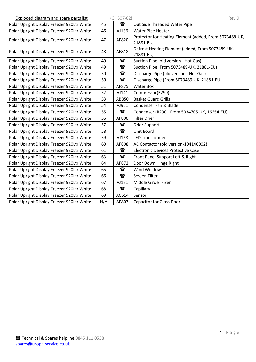| Exploded diagram and spare parts list      |     | (GH507-02)   | Rev.9                                                               |
|--------------------------------------------|-----|--------------|---------------------------------------------------------------------|
| Polar Upright Display Freezer 920Ltr White | 45  | $\mathbf{a}$ | Out Side Threaded Water Pipe                                        |
| Polar Upright Display Freezer 920Ltr White | 46  | AJ136        | <b>Water Pipe Heater</b>                                            |
| Polar Upright Display Freezer 920Ltr White | 47  | AF820        | Protector for Heating Element (added, From 5073489-UK,<br>21881-EU) |
| Polar Upright Display Freezer 920Ltr White | 48  | AF818        | Defrost Heating Element (added, From 5073489-UK,<br>21881-EU)       |
| Polar Upright Display Freezer 920Ltr White | 49  | $\mathbf{r}$ | Suction Pipe (old version - Hot Gas)                                |
| Polar Upright Display Freezer 920Ltr White | 49  | $\mathbf{r}$ | Suction Pipe (From 5073489-UK, 21881-EU)                            |
| Polar Upright Display Freezer 920Ltr White | 50  | $\mathbf{r}$ | Discharge Pipe (old version - Hot Gas)                              |
| Polar Upright Display Freezer 920Ltr White | 50  | 雷            | Discharge Pipe (From 5073489-UK, 21881-EU)                          |
| Polar Upright Display Freezer 920Ltr White | 51  | AF875        | <b>Water Box</b>                                                    |
| Polar Upright Display Freezer 920Ltr White | 52  | AJ141        | Compressor(R290)                                                    |
| Polar Upright Display Freezer 920Ltr White | 53  | AB850        | <b>Basket Guard Grills</b>                                          |
| Polar Upright Display Freezer 920Ltr White | 54  | AJ951        | Condenser Fan & Blade                                               |
| Polar Upright Display Freezer 920Ltr White | 55  | $\mathbf{a}$ | Condenser (R290 - From 5034705-UK, 16254-EU)                        |
| Polar Upright Display Freezer 920Ltr White | 56  | AF800        | <b>Filter Drier</b>                                                 |
| Polar Upright Display Freezer 920Ltr White | 57  | $\mathbf{r}$ | <b>Drier Support</b>                                                |
| Polar Upright Display Freezer 920Ltr White | 58  | $\mathbf{r}$ | Unit Board                                                          |
| Polar Upright Display Freezer 920Ltr White | 59  | AJ168        | <b>LED Transformer</b>                                              |
| Polar Upright Display Freezer 920Ltr White | 60  | AF808        | AC Contactor (old version-104140002)                                |
| Polar Upright Display Freezer 920Ltr White | 61  | $\mathbf{r}$ | <b>Electronic Devices Protective Case</b>                           |
| Polar Upright Display Freezer 920Ltr White | 63  | $\mathbf{r}$ | Front Panel Support Left & Right                                    |
| Polar Upright Display Freezer 920Ltr White | 64  | AF872        | Door Down Hinge Right                                               |
| Polar Upright Display Freezer 920Ltr White | 65  | $\mathbf{r}$ | Wind Window                                                         |
| Polar Upright Display Freezer 920Ltr White | 66  | $\mathbf{r}$ | Screen Filter                                                       |
| Polar Upright Display Freezer 920Ltr White | 67  | AJ131        | Middle Girder Fixer                                                 |
| Polar Upright Display Freezer 920Ltr White | 68  | $\mathbf{r}$ | Capillary                                                           |
| Polar Upright Display Freezer 920Ltr White | 69  | AC614        | Sensor                                                              |
| Polar Upright Display Freezer 920Ltr White | N/A | AF807        | <b>Capacitor for Glass Door</b>                                     |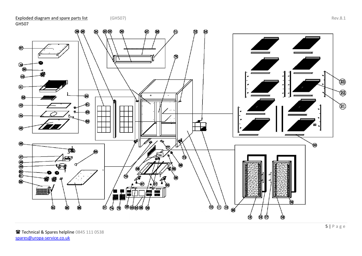<span id="page-4-0"></span>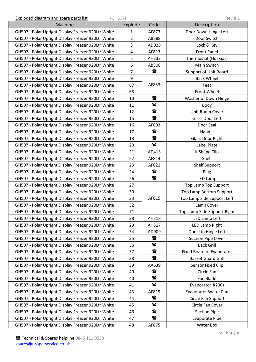Exploded diagram and spare parts list (GH507) Rev.8.1

| Exploued diagram and spare parts itst<br>1011207   |                |              | LCA.O.T                      |
|----------------------------------------------------|----------------|--------------|------------------------------|
| Machine                                            | Explode        | Code         | Description                  |
| GH507 - Polar Upright Display Freezer 920Ltr White | 1              | AF873        | Door Down Hinge Left         |
| GH507 - Polar Upright Display Freezer 920Ltr White | $\overline{2}$ | AB888        | Door Switch                  |
| GH507 - Polar Upright Display Freezer 920Ltr White | 3              | AD028        | Lock & Key                   |
| GH507 - Polar Upright Display Freezer 920Ltr White | $\overline{a}$ | AF813        | <b>Front Panel</b>           |
| GH507 - Polar Upright Display Freezer 920Ltr White | 5              | AH332        | Thermostat (Hot Gas)         |
| GH507 - Polar Upright Display Freezer 920Ltr White | 6              | AB308        | Main Switch                  |
| GH507 - Polar Upright Display Freezer 920Ltr White | 7              | $\mathbf{a}$ | <b>Support of Unit Board</b> |
| GH507 - Polar Upright Display Freezer 920Ltr White | 9              |              | <b>Back Wheel</b>            |
| GH507 - Polar Upright Display Freezer 920Ltr White | 67             | AF833        | Feet                         |
| GH507 - Polar Upright Display Freezer 920Ltr White | 68             |              | Front Wheel                  |
| GH507 - Polar Upright Display Freezer 920Ltr White | 10             | $\mathbf{r}$ | Washer of Down Hinge         |
| GH507 - Polar Upright Display Freezer 920Ltr White | 11             | $\mathbf{r}$ | Body                         |
| GH507 - Polar Upright Display Freezer 920Ltr White | 12             | 雷            | Unit Room Cover              |
| GH507 - Polar Upright Display Freezer 920Ltr White | 15             | $\mathbf{r}$ | Glass Door Left              |
| GH507 - Polar Upright Display Freezer 920Ltr White | 16             | AF803        | Door Seal                    |
| GH507 - Polar Upright Display Freezer 920Ltr White | 17             | $\mathbf{r}$ | Handle                       |
| GH507 - Polar Upright Display Freezer 920Ltr White | 18             | $\mathbf{r}$ | <b>Glass Door Right</b>      |
| GH507 - Polar Upright Display Freezer 920Ltr White | 20             | $\mathbf{r}$ | Label Plate                  |
| GH507 - Polar Upright Display Freezer 920Ltr White | 21             | AD413        | K Shape Clip                 |
| GH507 - Polar Upright Display Freezer 920Ltr White | 22             | AF814        | Shelf                        |
| GH507 - Polar Upright Display Freezer 920Ltr White | 23             | AF821        | <b>Shelf Support</b>         |
| GH507 - Polar Upright Display Freezer 920Ltr White | 24             | $\mathbf{r}$ | Plug                         |
| GH507 - Polar Upright Display Freezer 920Ltr White | 26             | $\mathbf{r}$ | LED Lamp                     |
| GH507 - Polar Upright Display Freezer 920Ltr White | 27             |              | Top Lamp Top Support         |
| GH507 - Polar Upright Display Freezer 920Ltr White | 30             |              | Top Lamp Bottom Support      |
| GH507 - Polar Upright Display Freezer 920Ltr White | 33             | AF815        | Top Lamp Side Support Left   |
| GH507 - Polar Upright Display Freezer 920Ltr White |                |              | Lamp Cover                   |
| GH507 - Polar Upright Display Freezer 920Ltr White | 71             |              | Top Lamp Side Support Right  |
| GH507 - Polar Upright Display Freezer 920Ltr White | 28             | AH318        | LED Lamp Left                |
| GH507 - Polar Upright Display Freezer 920Ltr White | 29             | AH317        | LED Lamp Right               |
| GH507 - Polar Upright Display Freezer 920Ltr White | 34             | AD909        | Door Up Hinge Left           |
| GH507 - Polar Upright Display Freezer 920Ltr White | 35             | 雷            | <b>Suction Pipe Cover</b>    |
| GH507 - Polar Upright Display Freezer 920Ltr White | 36             | $\mathbf{r}$ | <b>Back Grill</b>            |
| GH507 - Polar Upright Display Freezer 920Ltr White | 37             | $\mathbf{r}$ | Fixed Board of Evaporator    |
| GH507 - Polar Upright Display Freezer 920Ltr White | 38             | $\mathbf{r}$ | <b>Basket Guard Grill</b>    |
| GH507 - Polar Upright Display Freezer 920Ltr White | 39             | AA639        | Sensor Fixed Clip            |
| GH507 - Polar Upright Display Freezer 920Ltr White | 40             | 雷            | Circle Fan                   |
| GH507 - Polar Upright Display Freezer 920Ltr White | 40             | $\mathbf{r}$ | Fan Blade                    |
| GH507 - Polar Upright Display Freezer 920Ltr White | 41             | $\mathbf{r}$ | Evaporator(R290)             |
| GH507 - Polar Upright Display Freezer 920Ltr White | 43             | AF819        | <b>Evaporator Water Pan</b>  |
| GH507 - Polar Upright Display Freezer 920Ltr White | 44             | $\mathbf{a}$ | Circle Fan Support           |
| GH507 - Polar Upright Display Freezer 920Ltr White | 45             | $\mathbf{r}$ | Circle Fan Cover             |
| GH507 - Polar Upright Display Freezer 920Ltr White | 46             | $\mathbf{r}$ | <b>Suction Pipe</b>          |
| GH507 - Polar Upright Display Freezer 920Ltr White | 47             | $\mathbf{r}$ | <b>Evaporate Pipe</b>        |
| GH507 - Polar Upright Display Freezer 920Ltr White | 48             | AF875        | <b>Water Box</b>             |